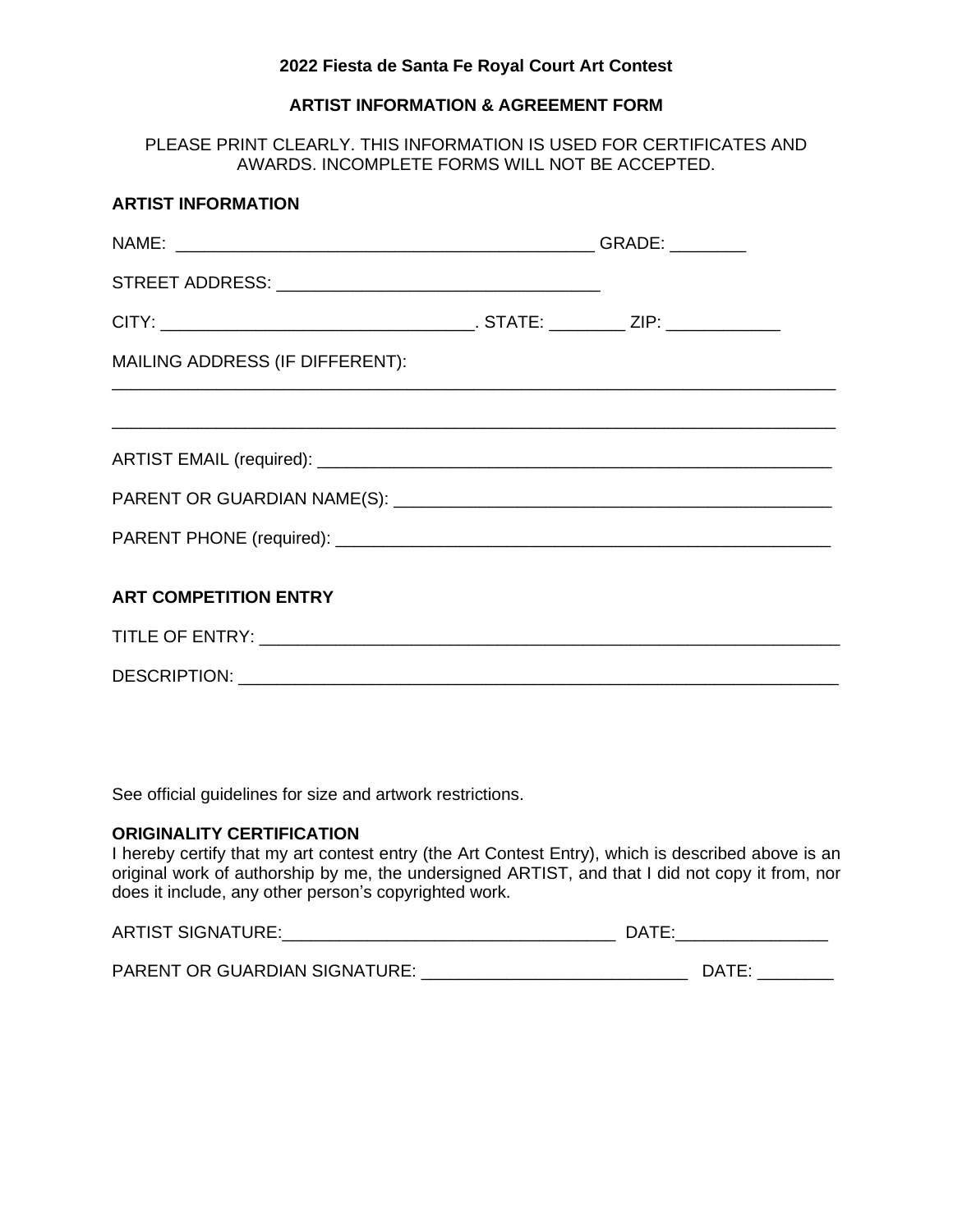### **2022 Fiesta de Santa Fe Royal Court Art Contest**

# **ARTIST INFORMATION & AGREEMENT FORM**

PLEASE PRINT CLEARLY. THIS INFORMATION IS USED FOR CERTIFICATES AND AWARDS. INCOMPLETE FORMS WILL NOT BE ACCEPTED.

| <b>ARTIST INFORMATION</b>       |  |  |
|---------------------------------|--|--|
|                                 |  |  |
|                                 |  |  |
|                                 |  |  |
| MAILING ADDRESS (IF DIFFERENT): |  |  |
|                                 |  |  |
|                                 |  |  |
|                                 |  |  |
|                                 |  |  |
| <b>ART COMPETITION ENTRY</b>    |  |  |
|                                 |  |  |
|                                 |  |  |

See official guidelines for size and artwork restrictions.

### **ORIGINALITY CERTIFICATION**

I hereby certify that my art contest entry (the Art Contest Entry), which is described above is an original work of authorship by me, the undersigned ARTIST, and that I did not copy it from, nor does it include, any other person's copyrighted work.

| <b>ARTIST SIGNATURE:</b><br>`` | ר∆ר⊓<br>____________________ |
|--------------------------------|------------------------------|
|                                |                              |

| <b>PARENT OR GUARDIAN SIGNATURE:</b> |  |  |
|--------------------------------------|--|--|
|--------------------------------------|--|--|